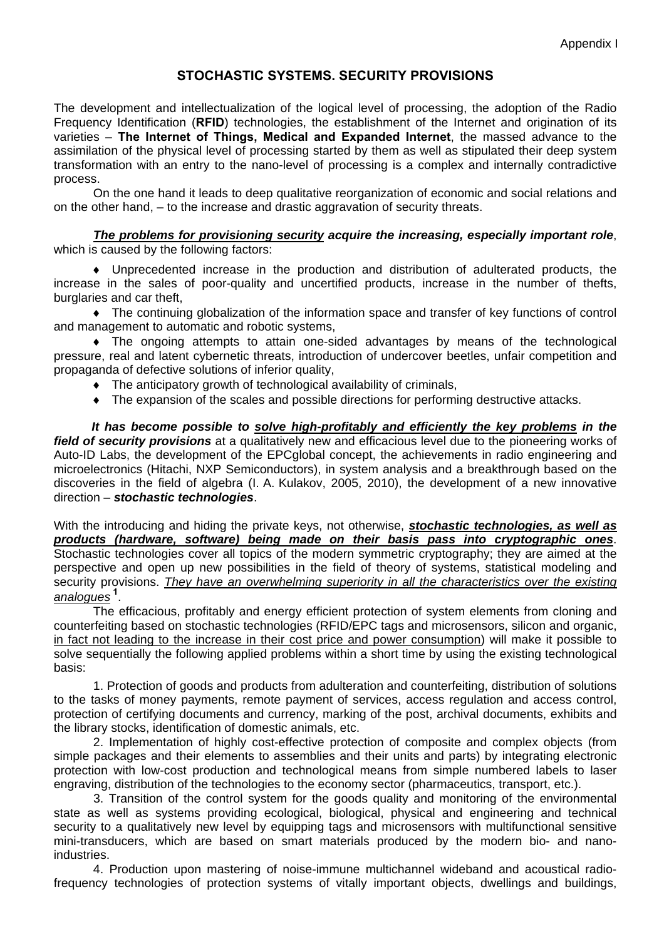## **STOCHASTIC SYSTEMS. SECURITY PROVISIONS**

The development and intellectualization of the logical level of processing, the adoption of the Radio Frequency Identification (**RFID**) technologies, the establishment of the Internet and origination of its varieties – **The Internet of Things, Medical and Expanded Internet**, the massed advance to the assimilation of the physical level of processing started by them as well as stipulated their deep system transformation with an entry to the nano-level of processing is a complex and internally contradictive process.

On the one hand it leads to deep qualitative reorganization of economic and social relations and on the other hand, – to the increase and drastic aggravation of security threats.

*The problems for provisioning security acquire the increasing, especially important role*, which is caused by the following factors:

♦ Unprecedented increase in the production and distribution of adulterated products, the increase in the sales of poor-quality and uncertified products, increase in the number of thefts, burglaries and car theft,

♦ The continuing globalization of the information space and transfer of key functions of control and management to automatic and robotic systems,

♦ The ongoing attempts to attain one-sided advantages by means of the technological pressure, real and latent cybernetic threats, introduction of undercover beetles, unfair competition and propaganda of defective solutions of inferior quality,

- ♦ The anticipatory growth of technological availability of criminals,
- ♦ The expansion of the scales and possible directions for performing destructive attacks.

*It has become possible to solve high-profitably and efficiently the key problems in the field of security provisions* at a qualitatively new and efficacious level due to the pioneering works of Auto-ID Labs, the development of the EPCglobal concept, the achievements in radio engineering and microelectronics (Hitachi, NXP Semiconductors), in system analysis and a breakthrough based on the discoveries in the field of algebra (I. A. Kulakov, 2005, 2010), the development of a new innovative direction – *stochastic technologies*.

With the introducing and hiding the private keys, not otherwise, *stochastic technologies, as well as products (hardware, software) being made on their basis pass into cryptographic ones*. Stochastic technologies cover all topics of the modern symmetric cryptography; they are aimed at the perspective and open up new possibilities in the field of theory of systems, statistical modeling and security provisions. *They have an overwhelming superiority in all the characteristics over the existing analogues* **[1](#page-2-0)** .

The efficacious, profitably and energy efficient protection of system elements from cloning and counterfeiting based on stochastic technologies (RFID/EPC tags and microsensors, silicon and organic, in fact not leading to the increase in their cost price and power consumption) will make it possible to solve sequentially the following applied problems within a short time by using the existing technological basis:

1. Protection of goods and products from adulteration and counterfeiting, distribution of solutions to the tasks of money payments, remote payment of services, access regulation and access control, protection of certifying documents and currency, marking of the post, archival documents, exhibits and the library stocks, identification of domestic animals, etc.

2. Implementation of highly cost-effective protection of composite and complex objects (from simple packages and their elements to assemblies and their units and parts) by integrating electronic protection with low-cost production and technological means from simple numbered labels to laser engraving, distribution of the technologies to the economy sector (pharmaceutics, transport, etc.).

3. Transition of the control system for the goods quality and monitoring of the environmental state as well as systems providing ecological, biological, physical and engineering and technical security to a qualitatively new level by equipping tags and microsensors with multifunctional sensitive mini-transducers, which are based on smart materials produced by the modern bio- and nanoindustries.

4. Production upon mastering of noise-immune multichannel wideband and acoustical radiofrequency technologies of protection systems of vitally important objects, dwellings and buildings,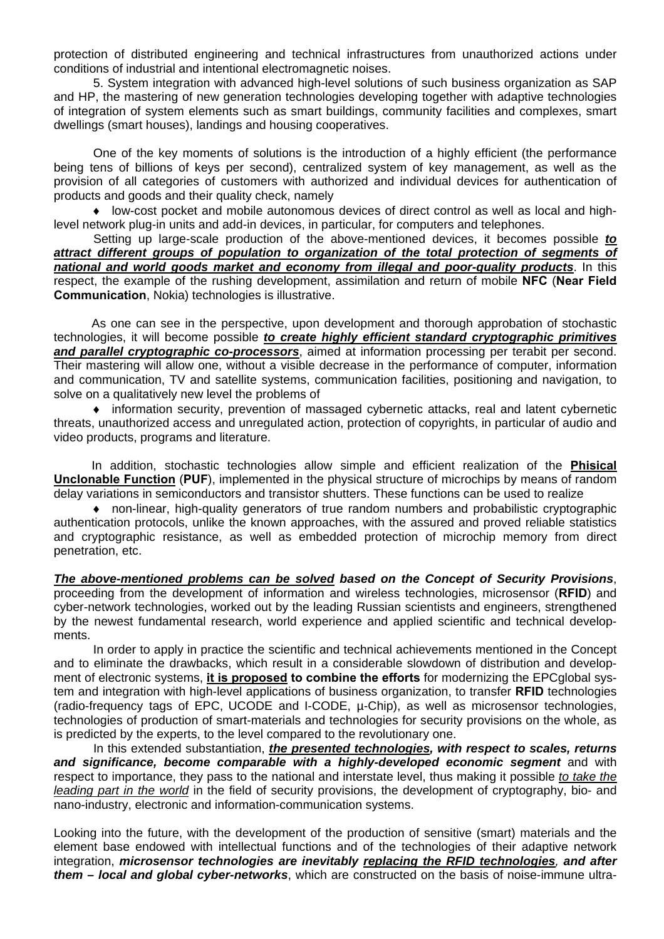protection of distributed engineering and technical infrastructures from unauthorized actions under conditions of industrial and intentional electromagnetic noises.

5. System integration with advanced high-level solutions of such business organization as SAP and HP, the mastering of new generation technologies developing together with adaptive technologies of integration of system elements such as smart buildings, community facilities and complexes, smart dwellings (smart houses), landings and housing cooperatives.

One of the key moments of solutions is the introduction of a highly efficient (the performance being tens of billions of keys per second), centralized system of key management, as well as the provision of all categories of customers with authorized and individual devices for authentication of products and goods and their quality check, namely

♦ low-cost pocket and mobile autonomous devices of direct control as well as local and highlevel network plug-in units and add-in devices, in particular, for computers and telephones.

Setting up large-scale production of the above-mentioned devices, it becomes possible *to attract different groups of population to organization of the total protection of segments of national and world goods market and economy from illegal and poor-quality products*. In this respect, the example of the rushing development, assimilation and return of mobile **NFC** (**Near Field Communication**, Nokia) technologies is illustrative.

As one can see in the perspective, upon development and thorough approbation of stochastic technologies, it will become possible *to create highly efficient standard cryptographic primitives and parallel cryptographic co-processors*, aimed at information processing per terabit per second. Their mastering will allow one, without a visible decrease in the performance of computer, information and communication, TV and satellite systems, communication facilities, positioning and navigation, to solve on a qualitatively new level the problems of

♦ information security, prevention of massaged cybernetic attacks, real and latent cybernetic threats, unauthorized access and unregulated action, protection of copyrights, in particular of audio and video products, programs and literature.

In addition, stochastic technologies allow simple and efficient realization of the **Phisical Unclonable Function** (**PUF**), implemented in the physical structure of microchips by means of random delay variations in semiconductors and transistor shutters. These functions can be used to realize

♦ non-linear, high-quality generators of true random numbers and probabilistic cryptographic authentication protocols, unlike the known approaches, with the assured and proved reliable statistics and cryptographic resistance, as well as embedded protection of microchip memory from direct penetration, etc.

*The above-mentioned problems can be solved based on the Concept of Security Provisions*, proceeding from the development of information and wireless technologies, microsensor (**RFID**) and cyber-network technologies, worked out by the leading Russian scientists and engineers, strengthened by the newest fundamental research, world experience and applied scientific and technical developments.

In order to apply in practice the scientific and technical achievements mentioned in the Concept and to eliminate the drawbacks, which result in a considerable slowdown of distribution and development of electronic systems, **it is proposed to combine the efforts** for modernizing the EPCglobal system and integration with high-level applications of business organization, to transfer **RFID** technologies (radio-frequency tags of EPC, UCODE and I-CODE, µ-Chip), as well as microsensor technologies, technologies of production of smart-materials and technologies for security provisions on the whole, as is predicted by the experts, to the level compared to the revolutionary one.

In this extended substantiation, *the presented technologies, with respect to scales, returns and significance, become comparable with a highly-developed economic segment* and with respect to importance, they pass to the national and interstate level, thus making it possible *to take the leading part in the world* in the field of security provisions, the development of cryptography, bio- and nano-industry, electronic and information-communication systems.

Looking into the future, with the development of the production of sensitive (smart) materials and the element base endowed with intellectual functions and of the technologies of their adaptive network integration, *microsensor technologies are inevitably replacing the RFID technologies, and after them – local and global cyber-networks*, which are constructed on the basis of noise-immune ultra